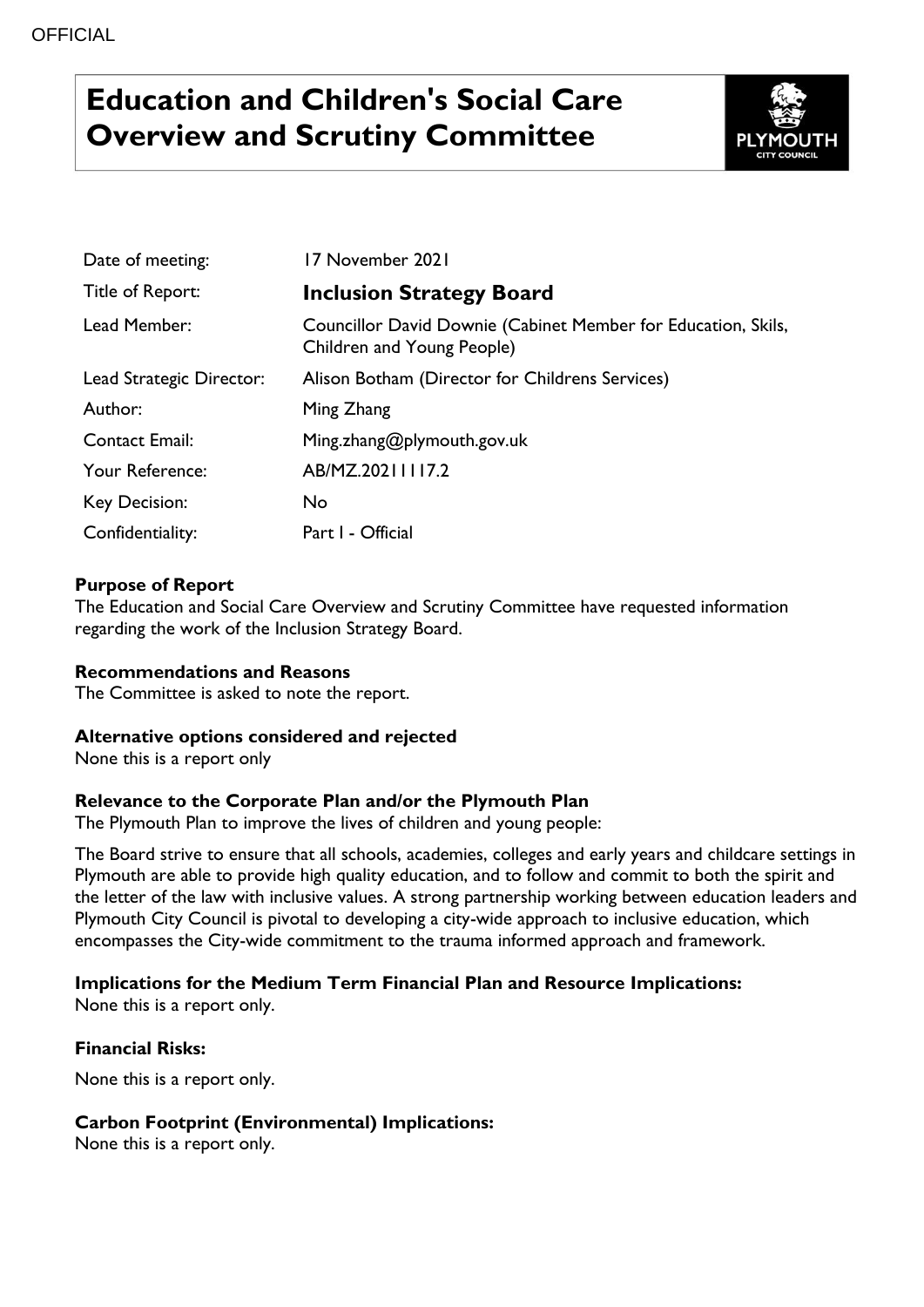# **Education and Children's Social Care Overview and Scrutiny Committee**



| Date of meeting:         | 17 November 2021                                                                            |
|--------------------------|---------------------------------------------------------------------------------------------|
| Title of Report:         | <b>Inclusion Strategy Board</b>                                                             |
| Lead Member:             | Councillor David Downie (Cabinet Member for Education, Skils,<br>Children and Young People) |
| Lead Strategic Director: | Alison Botham (Director for Childrens Services)                                             |
| Author:                  | Ming Zhang                                                                                  |
| <b>Contact Email:</b>    | Ming.zhang@plymouth.gov.uk                                                                  |
| Your Reference:          | AB/MZ.20211117.2                                                                            |
| Key Decision:            | No                                                                                          |
| Confidentiality:         | Part I - Official                                                                           |

### **Purpose of Report**

The Education and Social Care Overview and Scrutiny Committee have requested information regarding the work of the Inclusion Strategy Board.

#### **Recommendations and Reasons**

The Committee is asked to note the report.

#### **Alternative options considered and rejected**

None this is a report only

## **Relevance to the Corporate Plan and/or the Plymouth Plan**

The Plymouth Plan to improve the lives of children and young people:

The Board strive to ensure that all schools, academies, colleges and early years and childcare settings in Plymouth are able to provide high quality education, and to follow and commit to both the spirit and the letter of the law with inclusive values. A strong partnership working between education leaders and Plymouth City Council is pivotal to developing a city-wide approach to inclusive education, which encompasses the City-wide commitment to the trauma informed approach and framework.

## **Implications for the Medium Term Financial Plan and Resource Implications:**

None this is a report only.

#### **Financial Risks:**

None this is a report only.

#### **Carbon Footprint (Environmental) Implications:**

None this is a report only.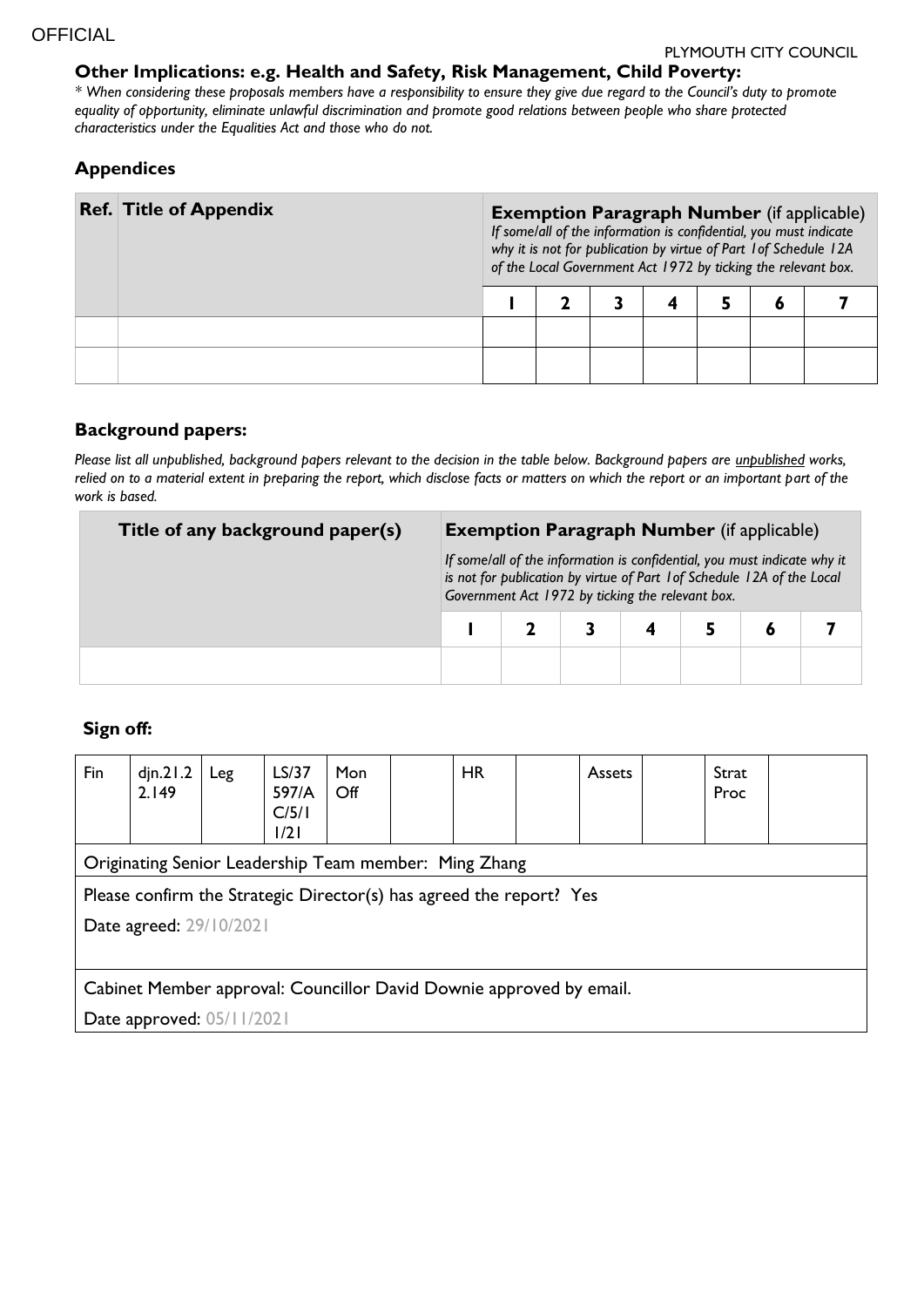#### **Other Implications: e.g. Health and Safety, Risk Management, Child Poverty:**

*\* When considering these proposals members have a responsibility to ensure they give due regard to the Council's duty to promote equality of opportunity, eliminate unlawful discrimination and promote good relations between people who share protected characteristics under the Equalities Act and those who do not.*

#### **Appendices**

| <b>Ref. Title of Appendix</b> |  | <b>Exemption Paragraph Number</b> (if applicable)<br>If some/all of the information is confidential, you must indicate<br>why it is not for publication by virtue of Part 1 of Schedule 12A<br>of the Local Government Act 1972 by ticking the relevant box. |  |  |  |  |  |  |  |  |
|-------------------------------|--|--------------------------------------------------------------------------------------------------------------------------------------------------------------------------------------------------------------------------------------------------------------|--|--|--|--|--|--|--|--|
|                               |  |                                                                                                                                                                                                                                                              |  |  |  |  |  |  |  |  |
|                               |  |                                                                                                                                                                                                                                                              |  |  |  |  |  |  |  |  |
|                               |  |                                                                                                                                                                                                                                                              |  |  |  |  |  |  |  |  |

#### **Background papers:**

*Please list all unpublished, background papers relevant to the decision in the table below. Background papers are unpublished works, relied on to a material extent in preparing the report, which disclose facts or matters on which the report or an important part of the work is based.*

| Title of any background paper(s) | <b>Exemption Paragraph Number</b> (if applicable)                                                                                                                                                       |  |  |  |  |  |  |
|----------------------------------|---------------------------------------------------------------------------------------------------------------------------------------------------------------------------------------------------------|--|--|--|--|--|--|
|                                  | If some/all of the information is confidential, you must indicate why it<br>is not for publication by virtue of Part 1 of Schedule 12A of the Local<br>Government Act 1972 by ticking the relevant box. |  |  |  |  |  |  |
|                                  |                                                                                                                                                                                                         |  |  |  |  |  |  |
|                                  |                                                                                                                                                                                                         |  |  |  |  |  |  |

## **Sign off:**

| Fin                                                                 | din.21.2<br>2.149 | Leg | LS/37<br>597/A<br>C/5/1<br>1/21 | Mon<br>$\mathsf{Off}$ |  | <b>HR</b> |  | <b>Assets</b> |  | Strat<br>Proc |  |
|---------------------------------------------------------------------|-------------------|-----|---------------------------------|-----------------------|--|-----------|--|---------------|--|---------------|--|
| Originating Senior Leadership Team member: Ming Zhang               |                   |     |                                 |                       |  |           |  |               |  |               |  |
| Please confirm the Strategic Director(s) has agreed the report? Yes |                   |     |                                 |                       |  |           |  |               |  |               |  |
| Date agreed: 29/10/2021                                             |                   |     |                                 |                       |  |           |  |               |  |               |  |
|                                                                     |                   |     |                                 |                       |  |           |  |               |  |               |  |
| Cabinet Member approval: Councillor David Downie approved by email. |                   |     |                                 |                       |  |           |  |               |  |               |  |
| Date approved: 05/11/2021                                           |                   |     |                                 |                       |  |           |  |               |  |               |  |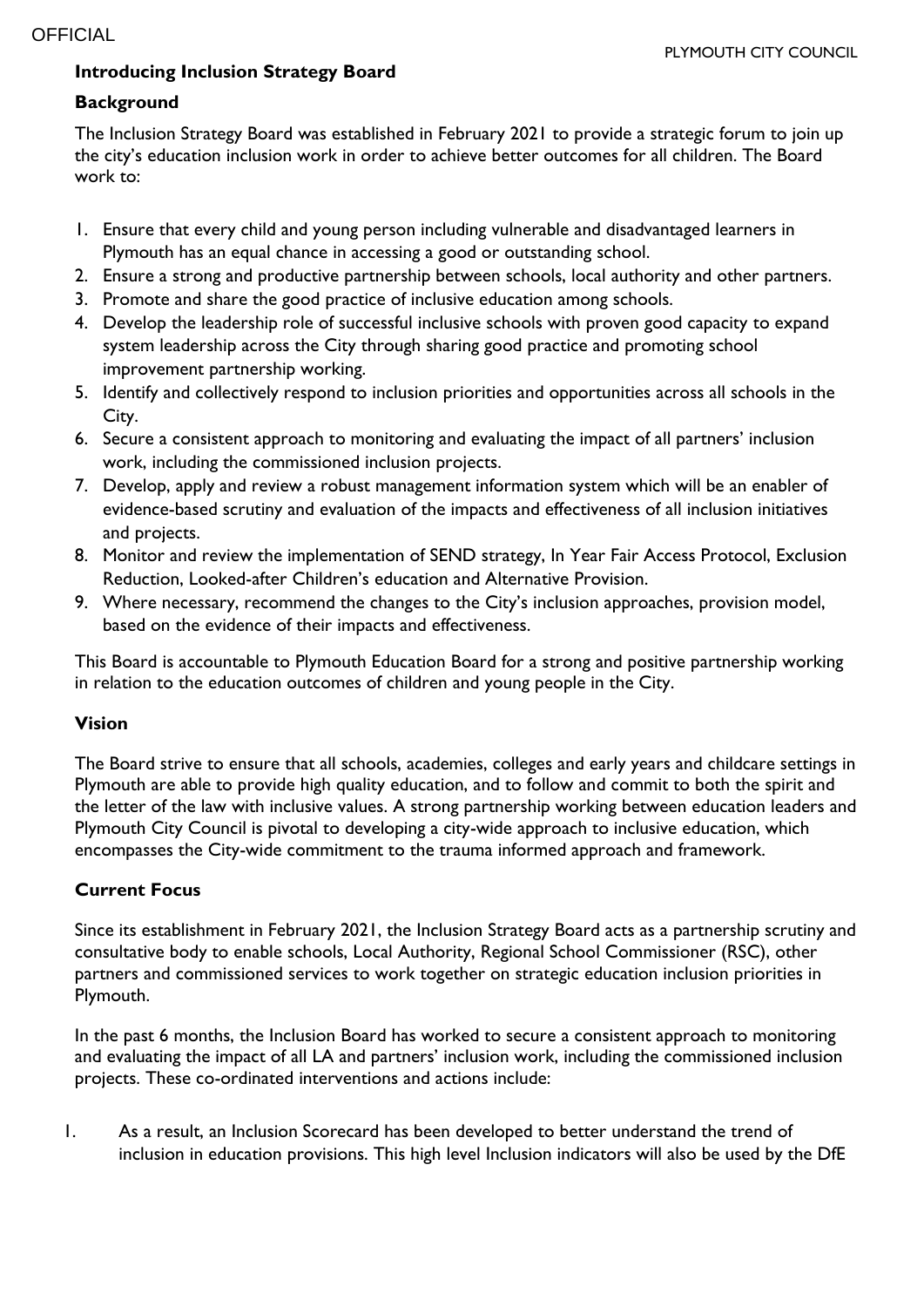## **Introducing Inclusion Strategy Board**

## **Background**

The Inclusion Strategy Board was established in February 2021 to provide a strategic forum to join up the city's education inclusion work in order to achieve better outcomes for all children. The Board work to:

- 1. Ensure that every child and young person including vulnerable and disadvantaged learners in Plymouth has an equal chance in accessing a good or outstanding school.
- 2. Ensure a strong and productive partnership between schools, local authority and other partners.
- 3. Promote and share the good practice of inclusive education among schools.
- 4. Develop the leadership role of successful inclusive schools with proven good capacity to expand system leadership across the City through sharing good practice and promoting school improvement partnership working.
- 5. Identify and collectively respond to inclusion priorities and opportunities across all schools in the City.
- 6. Secure a consistent approach to monitoring and evaluating the impact of all partners' inclusion work, including the commissioned inclusion projects.
- 7. Develop, apply and review a robust management information system which will be an enabler of evidence-based scrutiny and evaluation of the impacts and effectiveness of all inclusion initiatives and projects.
- 8. Monitor and review the implementation of SEND strategy, In Year Fair Access Protocol, Exclusion Reduction, Looked-after Children's education and Alternative Provision.
- 9. Where necessary, recommend the changes to the City's inclusion approaches, provision model, based on the evidence of their impacts and effectiveness.

This Board is accountable to Plymouth Education Board for a strong and positive partnership working in relation to the education outcomes of children and young people in the City.

#### **Vision**

The Board strive to ensure that all schools, academies, colleges and early years and childcare settings in Plymouth are able to provide high quality education, and to follow and commit to both the spirit and the letter of the law with inclusive values. A strong partnership working between education leaders and Plymouth City Council is pivotal to developing a city-wide approach to inclusive education, which encompasses the City-wide commitment to the trauma informed approach and framework.

#### **Current Focus**

Since its establishment in February 2021, the Inclusion Strategy Board acts as a partnership scrutiny and consultative body to enable schools, Local Authority, Regional School Commissioner (RSC), other partners and commissioned services to work together on strategic education inclusion priorities in Plymouth.

In the past 6 months, the Inclusion Board has worked to secure a consistent approach to monitoring and evaluating the impact of all LA and partners' inclusion work, including the commissioned inclusion projects. These co-ordinated interventions and actions include:

1. As a result, an Inclusion Scorecard has been developed to better understand the trend of inclusion in education provisions. This high level Inclusion indicators will also be used by the DfE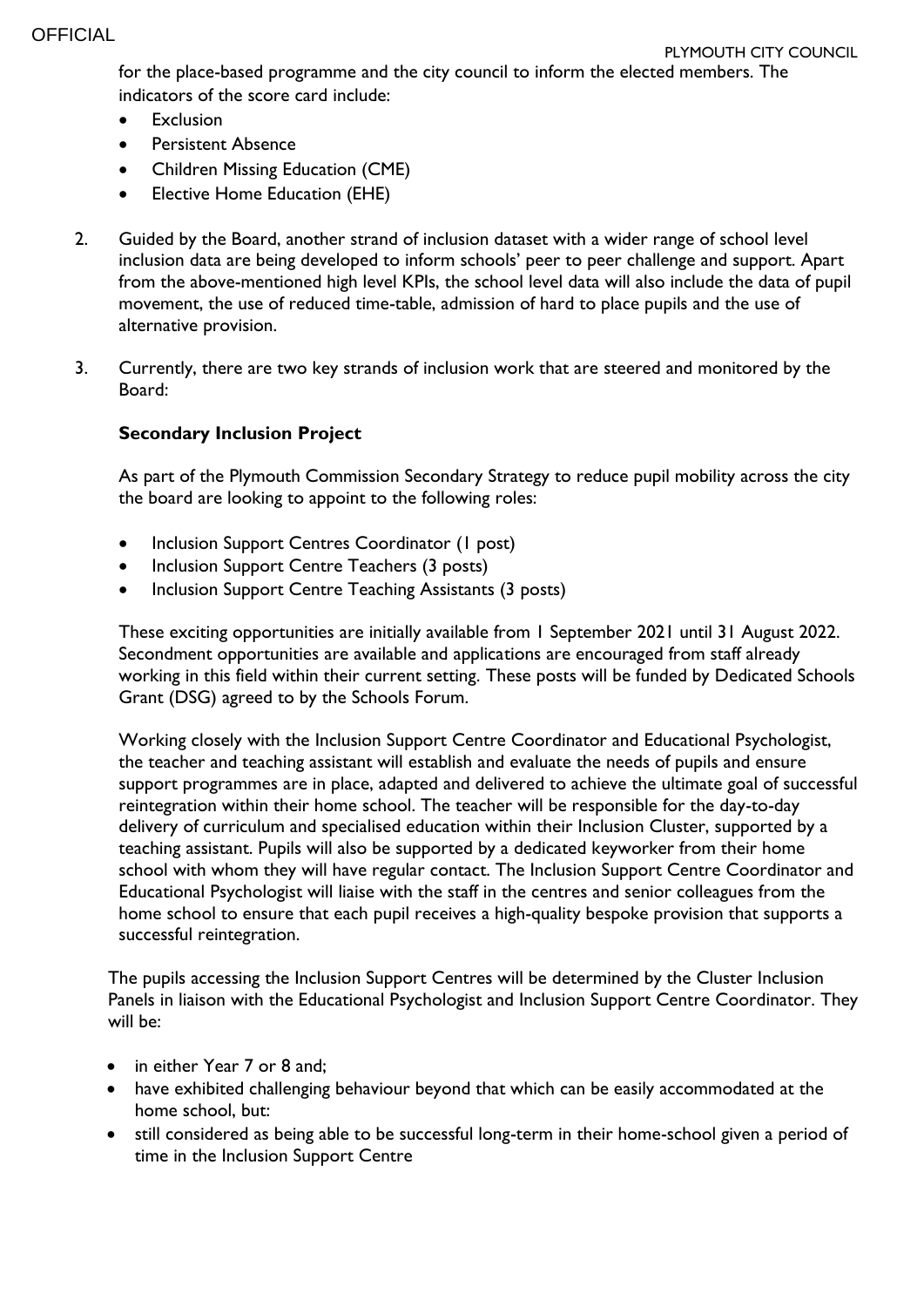for the place-based programme and the city council to inform the elected members. The indicators of the score card include:

- Exclusion
- Persistent Absence
- Children Missing Education (CME)
- Elective Home Education (EHE)
- 2. Guided by the Board, another strand of inclusion dataset with a wider range of school level inclusion data are being developed to inform schools' peer to peer challenge and support. Apart from the above-mentioned high level KPIs, the school level data will also include the data of pupil movement, the use of reduced time-table, admission of hard to place pupils and the use of alternative provision.
- 3. Currently, there are two key strands of inclusion work that are steered and monitored by the Board:

## **Secondary Inclusion Project**

As part of the Plymouth Commission Secondary Strategy to reduce pupil mobility across the city the board are looking to appoint to the following roles:

- Inclusion Support Centres Coordinator (1 post)
- Inclusion Support Centre Teachers (3 posts)
- Inclusion Support Centre Teaching Assistants (3 posts)

These exciting opportunities are initially available from 1 September 2021 until 31 August 2022. Secondment opportunities are available and applications are encouraged from staff already working in this field within their current setting. These posts will be funded by Dedicated Schools Grant (DSG) agreed to by the Schools Forum.

Working closely with the Inclusion Support Centre Coordinator and Educational Psychologist, the teacher and teaching assistant will establish and evaluate the needs of pupils and ensure support programmes are in place, adapted and delivered to achieve the ultimate goal of successful reintegration within their home school. The teacher will be responsible for the day-to-day delivery of curriculum and specialised education within their Inclusion Cluster, supported by a teaching assistant. Pupils will also be supported by a dedicated keyworker from their home school with whom they will have regular contact. The Inclusion Support Centre Coordinator and Educational Psychologist will liaise with the staff in the centres and senior colleagues from the home school to ensure that each pupil receives a high-quality bespoke provision that supports a successful reintegration.

The pupils accessing the Inclusion Support Centres will be determined by the Cluster Inclusion Panels in liaison with the Educational Psychologist and Inclusion Support Centre Coordinator. They will be:

- in either Year 7 or 8 and;
- have exhibited challenging behaviour beyond that which can be easily accommodated at the home school, but:
- still considered as being able to be successful long-term in their home-school given a period of time in the Inclusion Support Centre